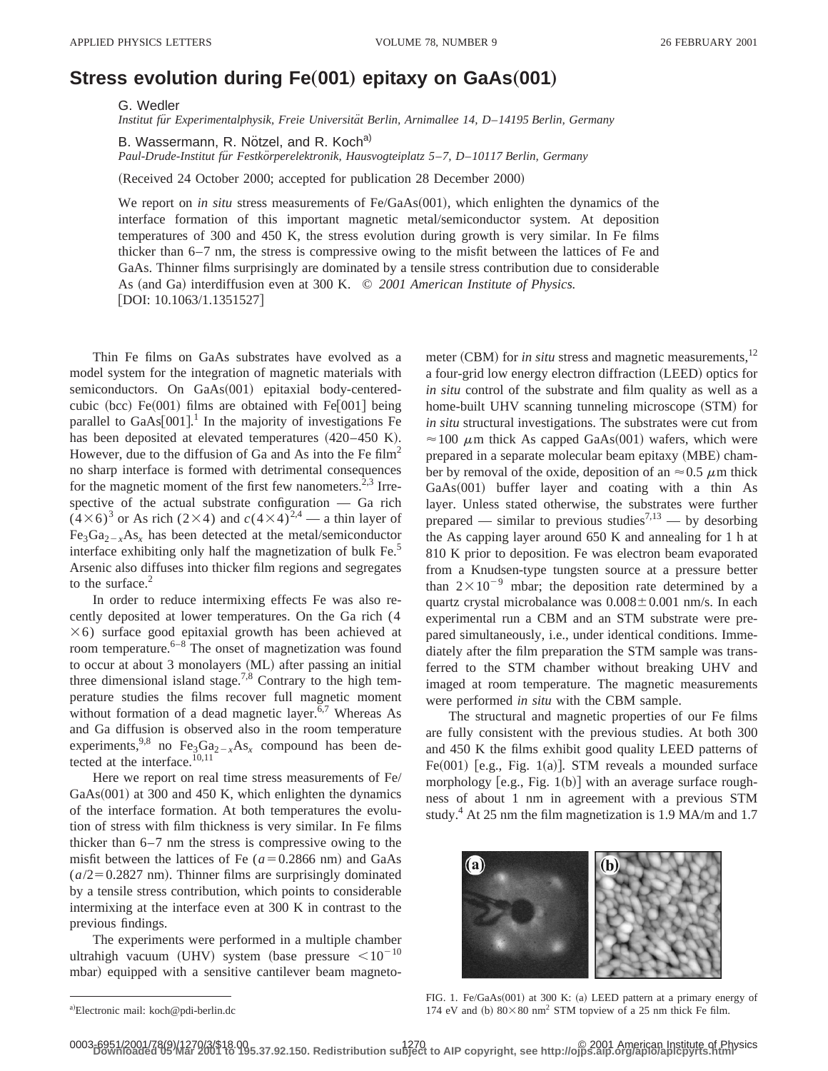## **Stress evolution during Fe(001) epitaxy on GaAs(001)**

G. Wedler

*Institut fu¨r Experimentalphysik, Freie Universita¨t Berlin, Arnimallee 14, D*–*14195 Berlin, Germany*

B. Wassermann, R. Nötzel, and R. Koch<sup>a)</sup>

*Paul-Drude-Institut fu¨r Festko¨rperelektronik, Hausvogteiplatz 5*–*7, D*–*10117 Berlin, Germany*

(Received 24 October 2000; accepted for publication 28 December 2000)

We report on *in situ* stress measurements of Fe/GaAs(001), which enlighten the dynamics of the interface formation of this important magnetic metal/semiconductor system. At deposition temperatures of 300 and 450 K, the stress evolution during growth is very similar. In Fe films thicker than 6–7 nm, the stress is compressive owing to the misfit between the lattices of Fe and GaAs. Thinner films surprisingly are dominated by a tensile stress contribution due to considerable As (and Ga) interdiffusion even at 300 K.  $\odot$  2001 American Institute of Physics.  $[DOI: 10.1063/1.1351527]$ 

Thin Fe films on GaAs substrates have evolved as a model system for the integration of magnetic materials with semiconductors. On  $GaAs(001)$  epitaxial body-centeredcubic (bcc)  $Fe(001)$  films are obtained with  $Fe[001]$  being parallel to  $GaAs[001]$ .<sup>1</sup> In the majority of investigations Fe has been deposited at elevated temperatures  $(420-450 \text{ K})$ . However, due to the diffusion of Ga and As into the Fe  $film<sup>2</sup>$ no sharp interface is formed with detrimental consequences for the magnetic moment of the first few nanometers.<sup>2,3</sup> Irrespective of the actual substrate configuration — Ga rich  $(4\times6)^3$  or As rich (2×4) and  $c(4\times4)^{2,4}$  — a thin layer of  $Fe<sub>3</sub>Ga<sub>2-x</sub>As<sub>x</sub>$  has been detected at the metal/semiconductor interface exhibiting only half the magnetization of bulk Fe.<sup>5</sup> Arsenic also diffuses into thicker film regions and segregates to the surface.<sup>2</sup>

In order to reduce intermixing effects Fe was also recently deposited at lower temperatures. On the Ga rich (4  $\times$ 6) surface good epitaxial growth has been achieved at room temperature.<sup>6–8</sup> The onset of magnetization was found to occur at about 3 monolayers (ML) after passing an initial three dimensional island stage.<sup>7,8</sup> Contrary to the high temperature studies the films recover full magnetic moment without formation of a dead magnetic layer.<sup>6,7</sup> Whereas As and Ga diffusion is observed also in the room temperature experiments,<sup>9,8</sup> no Fe<sub>3</sub>Ga<sub>2-x</sub>As<sub>x</sub> compound has been detected at the interface.<sup>10,11</sup>

Here we report on real time stress measurements of Fe/ GaAs $(001)$  at 300 and 450 K, which enlighten the dynamics of the interface formation. At both temperatures the evolution of stress with film thickness is very similar. In Fe films thicker than 6–7 nm the stress is compressive owing to the misfit between the lattices of Fe  $(a=0.2866$  nm) and GaAs  $(a/2=0.2827$  nm). Thinner films are surprisingly dominated by a tensile stress contribution, which points to considerable intermixing at the interface even at 300 K in contrast to the previous findings.

The experiments were performed in a multiple chamber ultrahigh vacuum (UHV) system (base pressure  $\leq 10^{-10}$ mbar) equipped with a sensitive cantilever beam magnetometer  $(CBM)$  for *in situ* stress and magnetic measurements,<sup>12</sup>

The structural and magnetic properties of our Fe films are fully consistent with the previous studies. At both 300 and 450 K the films exhibit good quality LEED patterns of Fe $(001)$  [e.g., Fig. 1(a)]. STM reveals a mounded surface morphology  $[e.g., Fig. 1(b)]$  with an average surface roughness of about 1 nm in agreement with a previous STM study.<sup>4</sup> At 25 nm the film magnetization is 1.9 MA/m and 1.7



FIG. 1. Fe/GaAs(001) at 300 K: (a) LEED pattern at a primary energy of 174 eV and (b)  $80 \times 80$  nm<sup>2</sup> STM topview of a 25 nm thick Fe film.

0003-6951/2001/78(9)/1270/3/\$18.00 © 2001 American Institute of Physics <sup>1270</sup> **Downloaded 05 Mar 2001 to 195.37.92.150. Redistribution subject to AIP copyright, see http://ojps.aip.org/aplo/aplcpyrts.html**

a four-grid low energy electron diffraction (LEED) optics for *in situ* control of the substrate and film quality as well as a home-built UHV scanning tunneling microscope (STM) for *in situ* structural investigations. The substrates were cut from  $\approx$  100  $\mu$ m thick As capped GaAs(001) wafers, which were prepared in a separate molecular beam epitaxy (MBE) chamber by removal of the oxide, deposition of an  $\approx 0.5 \mu$ m thick  $GaAs(001)$  buffer layer and coating with a thin As layer. Unless stated otherwise, the substrates were further prepared — similar to previous studies<sup>7,13</sup> — by desorbing the As capping layer around 650 K and annealing for 1 h at 810 K prior to deposition. Fe was electron beam evaporated from a Knudsen-type tungsten source at a pressure better than  $2\times10^{-9}$  mbar; the deposition rate determined by a quartz crystal microbalance was  $0.008 \pm 0.001$  nm/s. In each experimental run a CBM and an STM substrate were prepared simultaneously, i.e., under identical conditions. Immediately after the film preparation the STM sample was transferred to the STM chamber without breaking UHV and imaged at room temperature. The magnetic measurements were performed *in situ* with the CBM sample.

a)Electronic mail: koch@pdi-berlin.dc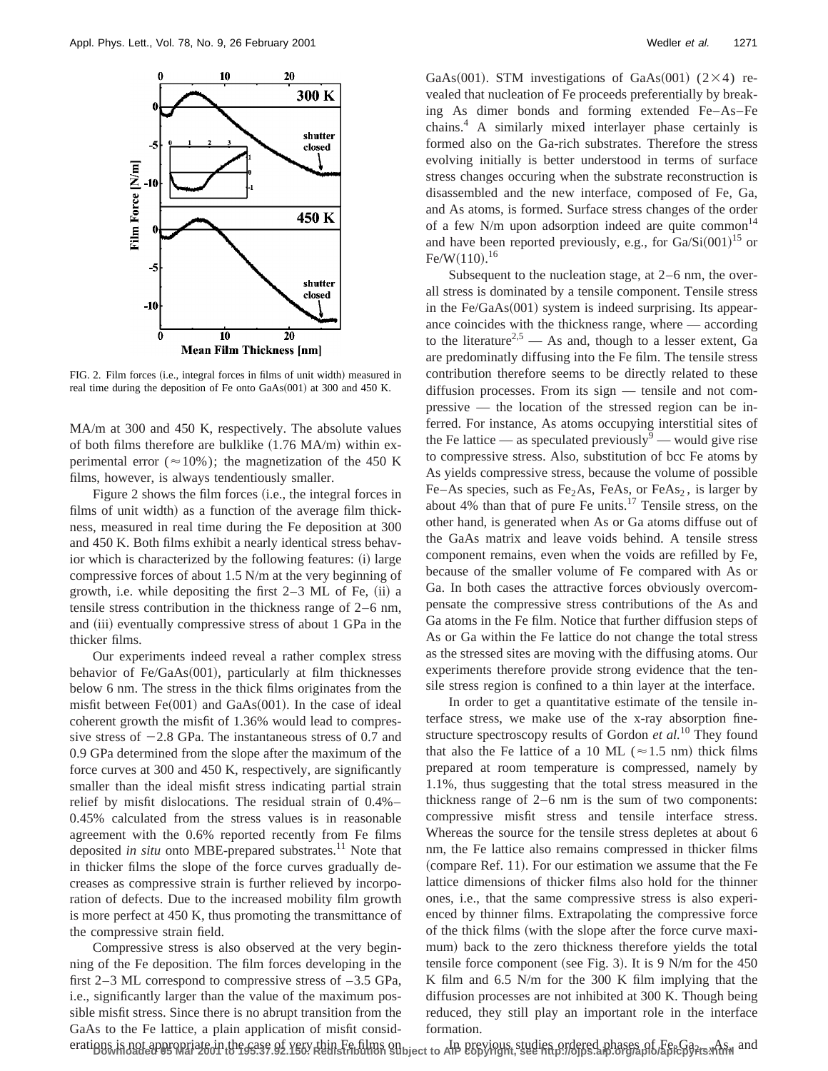

FIG. 2. Film forces (i.e., integral forces in films of unit width) measured in real time during the deposition of Fe onto GaAs(001) at 300 and 450 K.

MA/m at 300 and 450 K, respectively. The absolute values of both films therefore are bulklike  $(1.76 \text{ MA/m})$  within experimental error ( $\approx$  10%); the magnetization of the 450 K films, however, is always tendentiously smaller.

Figure 2 shows the film forces  $(i.e., the integral forces in$ films of unit width) as a function of the average film thickness, measured in real time during the Fe deposition at 300 and 450 K. Both films exhibit a nearly identical stress behavior which is characterized by the following features: (i) large compressive forces of about 1.5 N/m at the very beginning of growth, i.e. while depositing the first  $2-3$  ML of Fe,  $(ii)$  a tensile stress contribution in the thickness range of 2–6 nm, and (iii) eventually compressive stress of about 1 GPa in the thicker films.

Our experiments indeed reveal a rather complex stress behavior of  $Fe/GaAs(001)$ , particularly at film thicknesses below 6 nm. The stress in the thick films originates from the misfit between  $Fe(001)$  and  $GaAs(001)$ . In the case of ideal coherent growth the misfit of 1.36% would lead to compressive stress of  $-2.8$  GPa. The instantaneous stress of 0.7 and 0.9 GPa determined from the slope after the maximum of the force curves at 300 and 450 K, respectively, are significantly smaller than the ideal misfit stress indicating partial strain relief by misfit dislocations. The residual strain of 0.4%– 0.45% calculated from the stress values is in reasonable agreement with the 0.6% reported recently from Fe films deposited *in situ* onto MBE-prepared substrates.<sup>11</sup> Note that in thicker films the slope of the force curves gradually decreases as compressive strain is further relieved by incorporation of defects. Due to the increased mobility film growth is more perfect at 450 K, thus promoting the transmittance of the compressive strain field.

Compressive stress is also observed at the very beginning of the Fe deposition. The film forces developing in the first 2–3 ML correspond to compressive stress of –3.5 GPa, i.e., significantly larger than the value of the maximum possible misfit stress. Since there is no abrupt transition from the GaAs to the Fe lattice, a plain application of misfit considGaAs(001). STM investigations of GaAs(001) (2×4) revealed that nucleation of Fe proceeds preferentially by breaking As dimer bonds and forming extended Fe–As–Fe chains.4 A similarly mixed interlayer phase certainly is formed also on the Ga-rich substrates. Therefore the stress evolving initially is better understood in terms of surface stress changes occuring when the substrate reconstruction is disassembled and the new interface, composed of Fe, Ga, and As atoms, is formed. Surface stress changes of the order of a few  $N/m$  upon adsorption indeed are quite common<sup>14</sup> and have been reported previously, e.g., for  $Ga/Si(001)^{15}$  or Fe/W $(110).$ <sup>16</sup>

Subsequent to the nucleation stage, at 2–6 nm, the overall stress is dominated by a tensile component. Tensile stress in the  $Fe/GaAs(001)$  system is indeed surprising. Its appearance coincides with the thickness range, where — according to the literature<sup>2,5</sup> — As and, though to a lesser extent, Ga are predominatly diffusing into the Fe film. The tensile stress contribution therefore seems to be directly related to these diffusion processes. From its sign — tensile and not compressive — the location of the stressed region can be inferred. For instance, As atoms occupying interstitial sites of the Fe lattice — as speculated previously<sup>9</sup> — would give rise to compressive stress. Also, substitution of bcc Fe atoms by As yields compressive stress, because the volume of possible Fe–As species, such as Fe<sub>2</sub>As, FeAs, or FeAs<sub>2</sub>, is larger by about 4% than that of pure Fe units. $17$  Tensile stress, on the other hand, is generated when As or Ga atoms diffuse out of the GaAs matrix and leave voids behind. A tensile stress component remains, even when the voids are refilled by Fe, because of the smaller volume of Fe compared with As or Ga. In both cases the attractive forces obviously overcompensate the compressive stress contributions of the As and Ga atoms in the Fe film. Notice that further diffusion steps of As or Ga within the Fe lattice do not change the total stress as the stressed sites are moving with the diffusing atoms. Our experiments therefore provide strong evidence that the tensile stress region is confined to a thin layer at the interface.

In order to get a quantitative estimate of the tensile interface stress, we make use of the x-ray absorption finestructure spectroscopy results of Gordon *et al.*<sup>10</sup> They found that also the Fe lattice of a 10 ML ( $\approx$  1.5 nm) thick films prepared at room temperature is compressed, namely by 1.1%, thus suggesting that the total stress measured in the thickness range of 2–6 nm is the sum of two components: compressive misfit stress and tensile interface stress. Whereas the source for the tensile stress depletes at about 6 nm, the Fe lattice also remains compressed in thicker films  $\alpha$  (compare Ref. 11). For our estimation we assume that the Fe lattice dimensions of thicker films also hold for the thinner ones, i.e., that the same compressive stress is also experienced by thinner films. Extrapolating the compressive force of the thick films (with the slope after the force curve maximum) back to the zero thickness therefore yields the total tensile force component (see Fig. 3). It is 9 N/m for the  $450$ K film and 6.5 N/m for the 300 K film implying that the diffusion processes are not inhibited at 300 K. Though being reduced, they still play an important role in the interface formation.

erations in not appropriate in the 6339.92 Yety thin Fe films on bject to Ap previous studies ordered phases of FeeGgars. And and